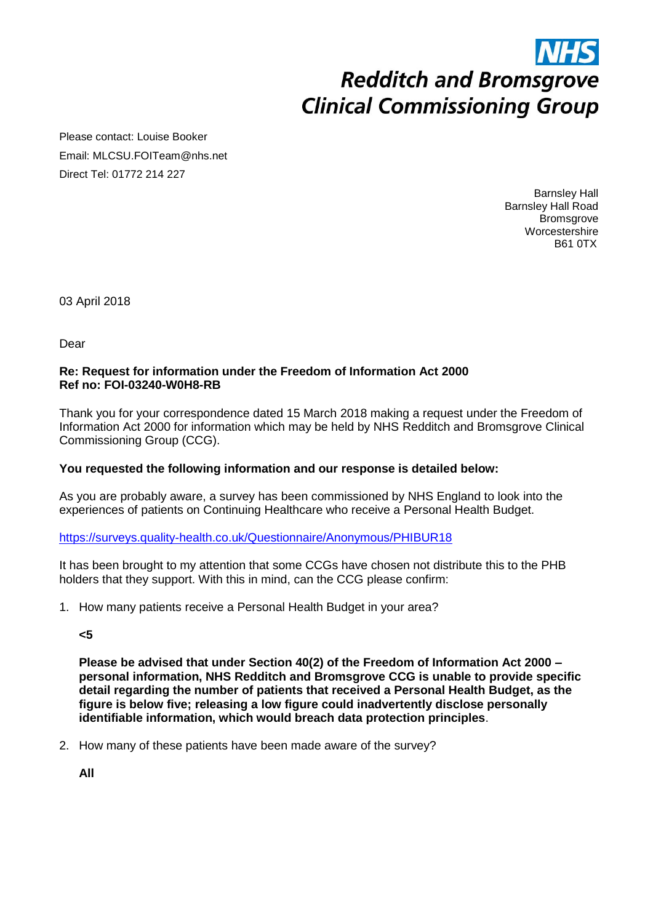# **Redditch and Bromsgrove Clinical Commissioning Group**

Please contact: Louise Booker Email: MLCSU.FOITeam@nhs.net Direct Tel: 01772 214 227

> Barnsley Hall Barnsley Hall Road **Bromsgrove Worcestershire** B61 0TX

03 April 2018

Dear

#### **Re: Request for information under the Freedom of Information Act 2000 Ref no: FOI-03240-W0H8-RB**

Thank you for your correspondence dated 15 March 2018 making a request under the Freedom of Information Act 2000 for information which may be held by NHS Redditch and Bromsgrove Clinical Commissioning Group (CCG).

### **You requested the following information and our response is detailed below:**

As you are probably aware, a survey has been commissioned by NHS England to look into the experiences of patients on Continuing Healthcare who receive a Personal Health Budget.

<https://surveys.quality-health.co.uk/Questionnaire/Anonymous/PHIBUR18>

It has been brought to my attention that some CCGs have chosen not distribute this to the PHB holders that they support. With this in mind, can the CCG please confirm:

1. How many patients receive a Personal Health Budget in your area?

**<5**

**Please be advised that under Section 40(2) of the Freedom of Information Act 2000 – personal information, NHS Redditch and Bromsgrove CCG is unable to provide specific detail regarding the number of patients that received a Personal Health Budget, as the figure is below five; releasing a low figure could inadvertently disclose personally identifiable information, which would breach data protection principles**.

2. How many of these patients have been made aware of the survey?

**All**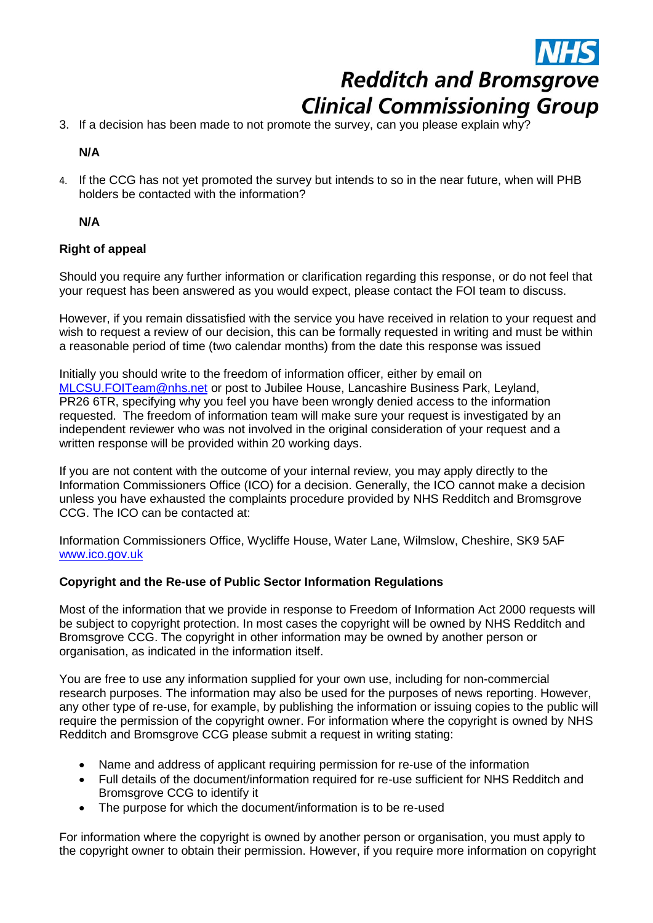**Redditch and Bromsgrove Clinical Commissioning Group** 

3. If a decision has been made to not promote the survey, can you please explain why?

**N/A**

4. If the CCG has not yet promoted the survey but intends to so in the near future, when will PHB holders be contacted with the information?

**N/A**

## **Right of appeal**

Should you require any further information or clarification regarding this response, or do not feel that your request has been answered as you would expect, please contact the FOI team to discuss.

However, if you remain dissatisfied with the service you have received in relation to your request and wish to request a review of our decision, this can be formally requested in writing and must be within a reasonable period of time (two calendar months) from the date this response was issued

Initially you should write to the freedom of information officer, either by email on [MLCSU.FOITeam@nhs.net](mailto:MLCSU.FOITeam@nhs.net) or post to Jubilee House, Lancashire Business Park, Leyland, PR26 6TR, specifying why you feel you have been wrongly denied access to the information requested. The freedom of information team will make sure your request is investigated by an independent reviewer who was not involved in the original consideration of your request and a written response will be provided within 20 working days.

If you are not content with the outcome of your internal review, you may apply directly to the Information Commissioners Office (ICO) for a decision. Generally, the ICO cannot make a decision unless you have exhausted the complaints procedure provided by NHS Redditch and Bromsgrove CCG. The ICO can be contacted at:

Information Commissioners Office, Wycliffe House, Water Lane, Wilmslow, Cheshire, SK9 5AF [www.ico.gov.uk](http://www.ico.gov.uk/) 

### **Copyright and the Re-use of Public Sector Information Regulations**

Most of the information that we provide in response to Freedom of Information Act 2000 requests will be subject to copyright protection. In most cases the copyright will be owned by NHS Redditch and Bromsgrove CCG. The copyright in other information may be owned by another person or organisation, as indicated in the information itself.

You are free to use any information supplied for your own use, including for non-commercial research purposes. The information may also be used for the purposes of news reporting. However, any other type of re-use, for example, by publishing the information or issuing copies to the public will require the permission of the copyright owner. For information where the copyright is owned by NHS Redditch and Bromsgrove CCG please submit a request in writing stating:

- Name and address of applicant requiring permission for re-use of the information
- Full details of the document/information required for re-use sufficient for NHS Redditch and Bromsgrove CCG to identify it
- The purpose for which the document/information is to be re-used

For information where the copyright is owned by another person or organisation, you must apply to the copyright owner to obtain their permission. However, if you require more information on copyright